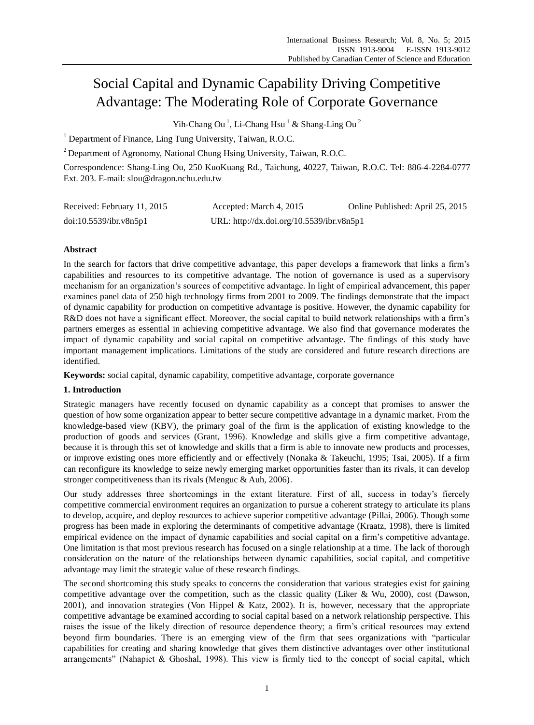# Social Capital and Dynamic Capability Driving Competitive Advantage: The Moderating Role of Corporate Governance

Yih-Chang Ou<sup>1</sup>, Li-Chang Hsu<sup>1</sup> & Shang-Ling Ou<sup>2</sup>

<sup>1</sup> Department of Finance, Ling Tung University, Taiwan, R.O.C.

 $2$  Department of Agronomy, National Chung Hsing University, Taiwan, R.O.C.

Correspondence: Shang-Ling Ou, 250 KuoKuang Rd., Taichung, 40227, Taiwan, R.O.C. Tel: 886-4-2284-0777 Ext. 203. E-mail: slou@dragon.nchu.edu.tw

| Received: February 11, 2015 | Accepted: March 4, 2015                   | Online Published: April 25, 2015 |
|-----------------------------|-------------------------------------------|----------------------------------|
| doi:10.5539/ibr.v8n5p1      | URL: http://dx.doi.org/10.5539/ibr.v8n5p1 |                                  |

# **Abstract**

In the search for factors that drive competitive advantage, this paper develops a framework that links a firm"s capabilities and resources to its competitive advantage. The notion of governance is used as a supervisory mechanism for an organization"s sources of competitive advantage. In light of empirical advancement, this paper examines panel data of 250 high technology firms from 2001 to 2009. The findings demonstrate that the impact of dynamic capability for production on competitive advantage is positive. However, the dynamic capability for R&D does not have a significant effect. Moreover, the social capital to build network relationships with a firm's partners emerges as essential in achieving competitive advantage. We also find that governance moderates the impact of dynamic capability and social capital on competitive advantage. The findings of this study have important management implications. Limitations of the study are considered and future research directions are identified.

**Keywords:** social capital, dynamic capability, competitive advantage, corporate governance

## **1. Introduction**

Strategic managers have recently focused on dynamic capability as a concept that promises to answer the question of how some organization appear to better secure competitive advantage in a dynamic market. From the knowledge-based view (KBV), the primary goal of the firm is the application of existing knowledge to the production of goods and services (Grant, 1996). Knowledge and skills give a firm competitive advantage, because it is through this set of knowledge and skills that a firm is able to innovate new products and processes, or improve existing ones more efficiently and or effectively (Nonaka & Takeuchi, 1995; Tsai, 2005). If a firm can reconfigure its knowledge to seize newly emerging market opportunities faster than its rivals, it can develop stronger competitiveness than its rivals (Menguc & Auh, 2006).

Our study addresses three shortcomings in the extant literature. First of all, success in today"s fiercely competitive commercial environment requires an organization to pursue a coherent strategy to articulate its plans to develop, acquire, and deploy resources to achieve superior competitive advantage (Pillai, 2006). Though some progress has been made in exploring the determinants of competitive advantage (Kraatz, 1998), there is limited empirical evidence on the impact of dynamic capabilities and social capital on a firm"s competitive advantage. One limitation is that most previous research has focused on a single relationship at a time. The lack of thorough consideration on the nature of the relationships between dynamic capabilities, social capital, and competitive advantage may limit the strategic value of these research findings.

The second shortcoming this study speaks to concerns the consideration that various strategies exist for gaining competitive advantage over the competition, such as the classic quality (Liker & Wu, 2000), cost (Dawson, 2001), and innovation strategies (Von Hippel & Katz, 2002). It is, however, necessary that the appropriate competitive advantage be examined according to social capital based on a network relationship perspective. This raises the issue of the likely direction of resource dependence theory; a firm"s critical resources may extend beyond firm boundaries. There is an emerging view of the firm that sees organizations with "particular capabilities for creating and sharing knowledge that gives them distinctive advantages over other institutional arrangements" (Nahapiet & Ghoshal, 1998). This view is firmly tied to the concept of social capital, which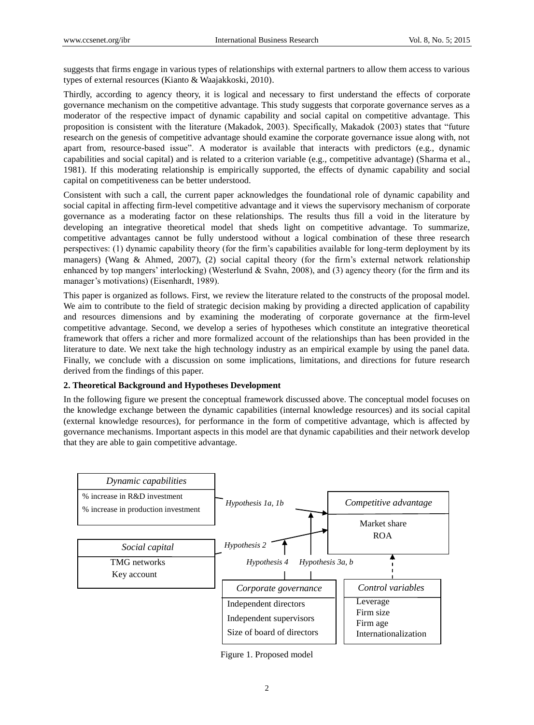suggests that firms engage in various types of relationships with external partners to allow them access to various types of external resources (Kianto & Waajakkoski, 2010).

Thirdly, according to agency theory, it is logical and necessary to first understand the effects of corporate governance mechanism on the competitive advantage. This study suggests that corporate governance serves as a moderator of the respective impact of dynamic capability and social capital on competitive advantage. This proposition is consistent with the literature (Makadok, 2003). Specifically, Makadok (2003) states that "future research on the genesis of competitive advantage should examine the corporate governance issue along with, not apart from, resource-based issue". A moderator is available that interacts with predictors (e.g., dynamic capabilities and social capital) and is related to a criterion variable (e.g., competitive advantage) (Sharma et al., 1981). If this moderating relationship is empirically supported, the effects of dynamic capability and social capital on competitiveness can be better understood.

Consistent with such a call, the current paper acknowledges the foundational role of dynamic capability and social capital in affecting firm-level competitive advantage and it views the supervisory mechanism of corporate governance as a moderating factor on these relationships. The results thus fill a void in the literature by developing an integrative theoretical model that sheds light on competitive advantage. To summarize, competitive advantages cannot be fully understood without a logical combination of these three research perspectives: (1) dynamic capability theory (for the firm"s capabilities available for long-term deployment by its managers) (Wang & Ahmed, 2007), (2) social capital theory (for the firm"s external network relationship enhanced by top mangers' interlocking) (Westerlund  $&$  Svahn, 2008), and (3) agency theory (for the firm and its manager's motivations) (Eisenhardt, 1989).

This paper is organized as follows. First, we review the literature related to the constructs of the proposal model. We aim to contribute to the field of strategic decision making by providing a directed application of capability and resources dimensions and by examining the moderating of corporate governance at the firm-level competitive advantage. Second, we develop a series of hypotheses which constitute an integrative theoretical framework that offers a richer and more formalized account of the relationships than has been provided in the literature to date. We next take the high technology industry as an empirical example by using the panel data. Finally, we conclude with a discussion on some implications, limitations, and directions for future research derived from the findings of this paper.

## **2. Theoretical Background and Hypotheses Development**

In the following figure we present the conceptual framework discussed above. The conceptual model focuses on the knowledge exchange between the dynamic capabilities (internal knowledge resources) and its social capital (external knowledge resources), for performance in the form of competitive advantage, which is affected by governance mechanisms. Important aspects in this model are that dynamic capabilities and their network develop that they are able to gain competitive advantage.



Figure 1. Proposed model

2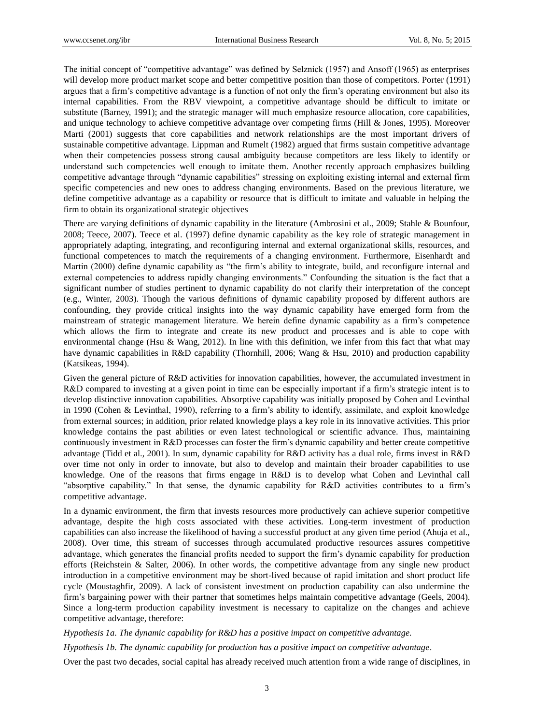The initial concept of "competitive advantage" was defined by Selznick (1957) and Ansoff (1965) as enterprises will develop more product market scope and better competitive position than those of competitors. Porter (1991) argues that a firm"s competitive advantage is a function of not only the firm"s operating environment but also its internal capabilities. From the RBV viewpoint, a competitive advantage should be difficult to imitate or substitute (Barney, 1991); and the strategic manager will much emphasize resource allocation, core capabilities, and unique technology to achieve competitive advantage over competing firms (Hill & Jones, 1995). Moreover Marti (2001) suggests that core capabilities and network relationships are the most important drivers of sustainable competitive advantage. Lippman and Rumelt (1982) argued that firms sustain competitive advantage when their competencies possess strong causal ambiguity because competitors are less likely to identify or understand such competencies well enough to imitate them. Another recently approach emphasizes building competitive advantage through "dynamic capabilities" stressing on exploiting existing internal and external firm specific competencies and new ones to address changing environments. Based on the previous literature, we define competitive advantage as a capability or resource that is difficult to imitate and valuable in helping the firm to obtain its organizational strategic objectives

There are varying definitions of dynamic capability in the literature (Ambrosini et al., 2009; Stahle & Bounfour, 2008; Teece, 2007). Teece et al. (1997) define dynamic capability as the key role of strategic management in appropriately adapting, integrating, and reconfiguring internal and external organizational skills, resources, and functional competences to match the requirements of a changing environment. Furthermore, Eisenhardt and Martin (2000) define dynamic capability as "the firm"s ability to integrate, build, and reconfigure internal and external competencies to address rapidly changing environments." Confounding the situation is the fact that a significant number of studies pertinent to dynamic capability do not clarify their interpretation of the concept (e.g., Winter, 2003). Though the various definitions of dynamic capability proposed by different authors are confounding, they provide critical insights into the way dynamic capability have emerged form from the mainstream of strategic management literature. We herein define dynamic capability as a firm"s competence which allows the firm to integrate and create its new product and processes and is able to cope with environmental change (Hsu & Wang, 2012). In line with this definition, we infer from this fact that what may have dynamic capabilities in R&D capability (Thornhill, 2006; Wang & Hsu, 2010) and production capability (Katsikeas, 1994).

Given the general picture of R&D activities for innovation capabilities, however, the accumulated investment in R&D compared to investing at a given point in time can be especially important if a firm"s strategic intent is to develop distinctive innovation capabilities. Absorptive capability was initially proposed by Cohen and Levinthal in 1990 (Cohen & Levinthal, 1990), referring to a firm"s ability to identify, assimilate, and exploit knowledge from external sources; in addition, prior related knowledge plays a key role in its innovative activities. This prior knowledge contains the past abilities or even latest technological or scientific advance. Thus, maintaining continuously investment in R&D processes can foster the firm"s dynamic capability and better create competitive advantage (Tidd et al., 2001). In sum, dynamic capability for R&D activity has a dual role, firms invest in R&D over time not only in order to innovate, but also to develop and maintain their broader capabilities to use knowledge. One of the reasons that firms engage in R&D is to develop what Cohen and Levinthal call "absorptive capability." In that sense, the dynamic capability for R&D activities contributes to a firm"s competitive advantage.

In a dynamic environment, the firm that invests resources more productively can achieve superior competitive advantage, despite the high costs associated with these activities. Long-term investment of production capabilities can also increase the likelihood of having a successful product at any given time period (Ahuja et al., 2008). Over time, this stream of successes through accumulated productive resources assures competitive advantage, which generates the financial profits needed to support the firm"s dynamic capability for production efforts (Reichstein & Salter, 2006). In other words, the competitive advantage from any single new product introduction in a competitive environment may be short-lived because of rapid imitation and short product life cycle (Moustaghfir, 2009). A lack of consistent investment on production capability can also undermine the firm"s bargaining power with their partner that sometimes helps maintain competitive advantage (Geels, 2004). Since a long-term production capability investment is necessary to capitalize on the changes and achieve competitive advantage, therefore:

#### *Hypothesis 1a. The dynamic capability for R&D has a positive impact on competitive advantage.*

*Hypothesis 1b. The dynamic capability for production has a positive impact on competitive advantage.*

Over the past two decades, social capital has already received much attention from a wide range of disciplines, in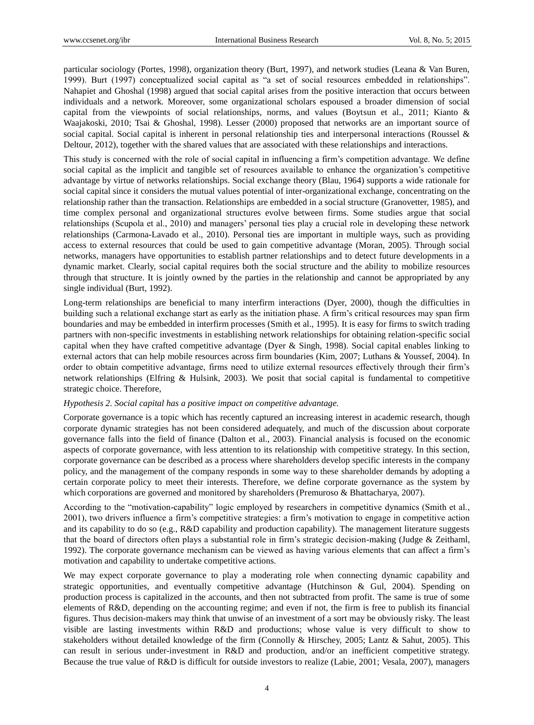particular sociology (Portes, 1998), organization theory (Burt, 1997), and network studies (Leana & Van Buren, 1999). Burt (1997) conceptualized social capital as "a set of social resources embedded in relationships". Nahapiet and Ghoshal (1998) argued that social capital arises from the positive interaction that occurs between individuals and a network. Moreover, some organizational scholars espoused a broader dimension of social capital from the viewpoints of social relationships, norms, and values (Boytsun et al., 2011; Kianto & Waajakoski, 2010; Tsai & Ghoshal, 1998). Lesser (2000) proposed that networks are an important source of social capital. Social capital is inherent in personal relationship ties and interpersonal interactions (Roussel & Deltour, 2012), together with the shared values that are associated with these relationships and interactions.

This study is concerned with the role of social capital in influencing a firm"s competition advantage. We define social capital as the implicit and tangible set of resources available to enhance the organization's competitive advantage by virtue of networks relationships. Social exchange theory (Blau, 1964) supports a wide rationale for social capital since it considers the mutual values potential of inter-organizational exchange, concentrating on the relationship rather than the transaction. Relationships are embedded in a social structure (Granovetter, 1985), and time complex personal and organizational structures evolve between firms. Some studies argue that social relationships (Scupola et al., 2010) and managers" personal ties play a crucial role in developing these network relationships (Carmona-Lavado et al., 2010). Personal ties are important in multiple ways, such as providing access to external resources that could be used to gain competitive advantage (Moran, 2005). Through social networks, managers have opportunities to establish partner relationships and to detect future developments in a dynamic market. Clearly, social capital requires both the social structure and the ability to mobilize resources through that structure. It is jointly owned by the parties in the relationship and cannot be appropriated by any single individual (Burt, 1992).

Long-term relationships are beneficial to many interfirm interactions (Dyer, 2000), though the difficulties in building such a relational exchange start as early as the initiation phase. A firm"s critical resources may span firm boundaries and may be embedded in interfirm processes (Smith et al., 1995). It is easy for firms to switch trading partners with non-specific investments in establishing network relationships for obtaining relation-specific social capital when they have crafted competitive advantage (Dyer & Singh, 1998). Social capital enables linking to external actors that can help mobile resources across firm boundaries (Kim, 2007; Luthans & Youssef, 2004). In order to obtain competitive advantage, firms need to utilize external resources effectively through their firm"s network relationships (Elfring & Hulsink, 2003). We posit that social capital is fundamental to competitive strategic choice. Therefore,

#### *Hypothesis 2. Social capital has a positive impact on competitive advantage.*

Corporate governance is a topic which has recently captured an increasing interest in academic research, though corporate dynamic strategies has not been considered adequately, and much of the discussion about corporate governance falls into the field of finance (Dalton et al., 2003). Financial analysis is focused on the economic aspects of corporate governance, with less attention to its relationship with competitive strategy. In this section, corporate governance can be described as a process where shareholders develop specific interests in the company policy, and the management of the company responds in some way to these shareholder demands by adopting a certain corporate policy to meet their interests. Therefore, we define corporate governance as the system by which corporations are governed and monitored by shareholders (Premuroso & Bhattacharya, 2007).

According to the "motivation-capability" logic employed by researchers in competitive dynamics (Smith et al., 2001), two drivers influence a firm"s competitive strategies: a firm"s motivation to engage in competitive action and its capability to do so (e.g., R&D capability and production capability). The management literature suggests that the board of directors often plays a substantial role in firm"s strategic decision-making (Judge & Zeithaml, 1992). The corporate governance mechanism can be viewed as having various elements that can affect a firm"s motivation and capability to undertake competitive actions.

We may expect corporate governance to play a moderating role when connecting dynamic capability and strategic opportunities, and eventually competitive advantage (Hutchinson & Gul, 2004). Spending on production process is capitalized in the accounts, and then not subtracted from profit. The same is true of some elements of R&D, depending on the accounting regime; and even if not, the firm is free to publish its financial figures. Thus decision-makers may think that unwise of an investment of a sort may be obviously risky. The least visible are lasting investments within R&D and productions; whose value is very difficult to show to stakeholders without detailed knowledge of the firm (Connolly & Hirschey, 2005; Lantz & Sahut, 2005). This can result in serious under-investment in R&D and production, and/or an inefficient competitive strategy. Because the true value of R&D is difficult for outside investors to realize (Labie, 2001; Vesala, 2007), managers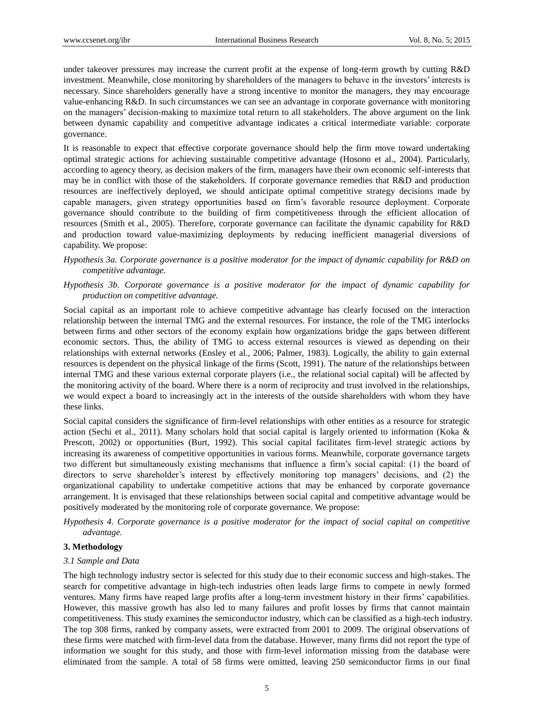under takeover pressures may increase the current profit at the expense of long-term growth by cutting R&D investment. Meanwhile, close monitoring by shareholders of the managers to behave in the investors" interests is necessary. Since shareholders generally have a strong incentive to monitor the managers, they may encourage value-enhancing R&D. In such circumstances we can see an advantage in corporate governance with monitoring on the managers" decision-making to maximize total return to all stakeholders. The above argument on the link between dynamic capability and competitive advantage indicates a critical intermediate variable: corporate governance.

It is reasonable to expect that effective corporate governance should help the firm move toward undertaking optimal strategic actions for achieving sustainable competitive advantage (Hosono et al., 2004). Particularly, according to agency theory, as decision makers of the firm, managers have their own economic self-interests that may be in conflict with those of the stakeholders. If corporate governance remedies that R&D and production resources are ineffectively deployed, we should anticipate optimal competitive strategy decisions made by capable managers, given strategy opportunities based on firm"s favorable resource deployment. Corporate governance should contribute to the building of firm competitiveness through the efficient allocation of resources (Smith et al., 2005). Therefore, corporate governance can facilitate the dynamic capability for R&D and production toward value-maximizing deployments by reducing inefficient managerial diversions of capability. We propose:

*Hypothesis 3a. Corporate governance is a positive moderator for the impact of dynamic capability for R&D on competitive advantage.*

*Hypothesis 3b. Corporate governance is a positive moderator for the impact of dynamic capability for production on competitive advantage.*

Social capital as an important role to achieve competitive advantage has clearly focused on the interaction relationship between the internal TMG and the external resources. For instance, the role of the TMG interlocks between firms and other sectors of the economy explain how organizations bridge the gaps between different economic sectors. Thus, the ability of TMG to access external resources is viewed as depending on their relationships with external networks (Ensley et al., 2006; Palmer, 1983). Logically, the ability to gain external resources is dependent on the physical linkage of the firms (Scott, 1991). The nature of the relationships between internal TMG and these various external corporate players (i.e., the relational social capital) will be affected by the monitoring activity of the board. Where there is a norm of reciprocity and trust involved in the relationships, we would expect a board to increasingly act in the interests of the outside shareholders with whom they have these links.

Social capital considers the significance of firm-level relationships with other entities as a resource for strategic action (Sechi et al., 2011). Many scholars hold that social capital is largely oriented to information (Koka & Prescott, 2002) or opportunities (Burt, 1992). This social capital facilitates firm-level strategic actions by increasing its awareness of competitive opportunities in various forms. Meanwhile, corporate governance targets two different but simultaneously existing mechanisms that influence a firm"s social capital: (1) the board of directors to serve shareholder's interest by effectively monitoring top managers' decisions, and (2) the organizational capability to undertake competitive actions that may be enhanced by corporate governance arrangement. It is envisaged that these relationships between social capital and competitive advantage would be positively moderated by the monitoring role of corporate governance. We propose:

*Hypothesis 4. Corporate governance is a positive moderator for the impact of social capital on competitive advantage.*

## **3. Methodology**

#### *3.1 Sample and Data*

The high technology industry sector is selected for this study due to their economic success and high-stakes. The search for competitive advantage in high-tech industries often leads large firms to compete in newly formed ventures. Many firms have reaped large profits after a long-term investment history in their firms" capabilities. However, this massive growth has also led to many failures and profit losses by firms that cannot maintain competitiveness. This study examines the semiconductor industry, which can be classified as a high-tech industry. The top 308 firms, ranked by company assets, were extracted from 2001 to 2009. The original observations of these firms were matched with firm-level data from the database. However, many firms did not report the type of information we sought for this study, and those with firm-level information missing from the database were eliminated from the sample. A total of 58 firms were omitted, leaving 250 semiconductor firms in our final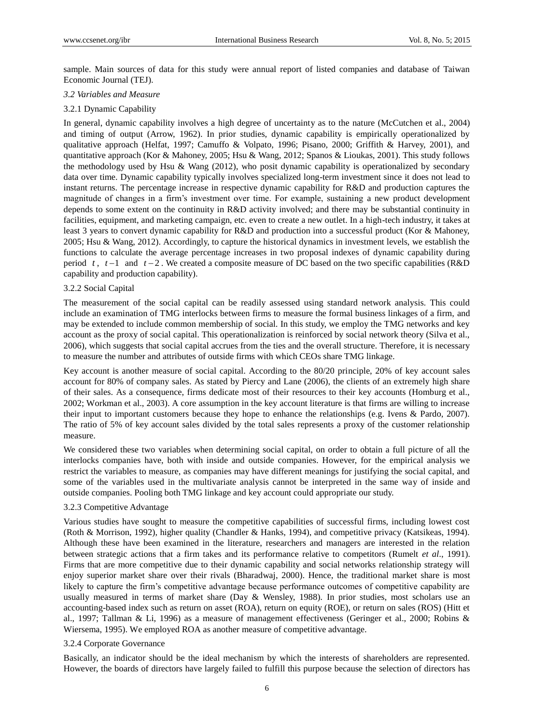sample. Main sources of data for this study were annual report of listed companies and database of Taiwan Economic Journal (TEJ).

#### *3.2 Variables and Measure*

#### 3.2.1 Dynamic Capability

In general, dynamic capability involves a high degree of uncertainty as to the nature (McCutchen et al., 2004) and timing of output (Arrow, 1962). In prior studies, dynamic capability is empirically operationalized by qualitative approach (Helfat, 1997; Camuffo & Volpato, 1996; Pisano, 2000; Griffith & Harvey, 2001), and quantitative approach (Kor & Mahoney, 2005; Hsu & Wang, 2012; Spanos & Lioukas, 2001). This study follows the methodology used by Hsu & Wang (2012), who posit dynamic capability is operationalized by secondary data over time. Dynamic capability typically involves specialized long-term investment since it does not lead to instant returns. The percentage increase in respective dynamic capability for R&D and production captures the magnitude of changes in a firm"s investment over time. For example, sustaining a new product development depends to some extent on the continuity in R&D activity involved; and there may be substantial continuity in facilities, equipment, and marketing campaign, etc. even to create a new outlet. In a high-tech industry, it takes at least 3 years to convert dynamic capability for R&D and production into a successful product (Kor & Mahoney, 2005; Hsu & Wang, 2012). Accordingly, to capture the historical dynamics in investment levels, we establish the functions to calculate the average percentage increases in two proposal indexes of dynamic capability during period  $t$ ,  $t-1$  and  $t-2$ . We created a composite measure of DC based on the two specific capabilities (R&D) capability and production capability).

#### 3.2.2 Social Capital

The measurement of the social capital can be readily assessed using standard network analysis. This could include an examination of TMG interlocks between firms to measure the formal business linkages of a firm, and may be extended to include common membership of social. In this study, we employ the TMG networks and key account as the proxy of social capital. This operationalization is reinforced by social network theory (Silva et al., 2006), which suggests that social capital accrues from the ties and the overall structure. Therefore, it is necessary to measure the number and attributes of outside firms with which CEOs share TMG linkage.

Key account is another measure of social capital. According to the 80/20 principle, 20% of key account sales account for 80% of company sales. As stated by Piercy and Lane (2006), the clients of an extremely high share of their sales. As a consequence, firms dedicate most of their resources to their key accounts (Homburg et al., 2002; Workman et al., 2003). A core assumption in the key account literature is that firms are willing to increase their input to important customers because they hope to enhance the relationships (e.g. Ivens & Pardo, 2007). The ratio of 5% of key account sales divided by the total sales represents a proxy of the customer relationship measure.

We considered these two variables when determining social capital, on order to obtain a full picture of all the interlocks companies have, both with inside and outside companies. However, for the empirical analysis we restrict the variables to measure, as companies may have different meanings for justifying the social capital, and some of the variables used in the multivariate analysis cannot be interpreted in the same way of inside and outside companies. Pooling both TMG linkage and key account could appropriate our study.

#### 3.2.3 Competitive Advantage

Various studies have sought to measure the competitive capabilities of successful firms, including lowest cost (Roth & Morrison, 1992), higher quality (Chandler & Hanks, 1994), and competitive privacy (Katsikeas, 1994). Although these have been examined in the literature, researchers and managers are interested in the relation between strategic actions that a firm takes and its performance relative to competitors (Rumelt *et al*., 1991). Firms that are more competitive due to their dynamic capability and social networks relationship strategy will enjoy superior market share over their rivals (Bharadwaj, 2000). Hence, the traditional market share is most likely to capture the firm"s competitive advantage because performance outcomes of competitive capability are usually measured in terms of market share (Day & Wensley, 1988). In prior studies, most scholars use an accounting-based index such as return on asset (ROA), return on equity (ROE), or return on sales (ROS) (Hitt et al., 1997; Tallman & Li, 1996) as a measure of management effectiveness (Geringer et al., 2000; Robins & Wiersema, 1995). We employed ROA as another measure of competitive advantage.

#### 3.2.4 Corporate Governance

Basically, an indicator should be the ideal mechanism by which the interests of shareholders are represented. However, the boards of directors have largely failed to fulfill this purpose because the selection of directors has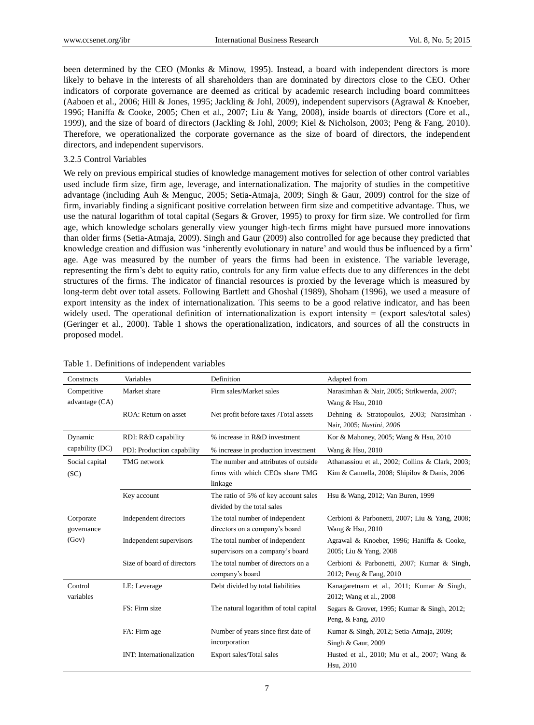been determined by the CEO (Monks & Minow, 1995). Instead, a board with independent directors is more likely to behave in the interests of all shareholders than are dominated by directors close to the CEO. Other indicators of corporate governance are deemed as critical by academic research including board committees (Aaboen et al., 2006; Hill & Jones, 1995; Jackling & Johl, 2009), independent supervisors (Agrawal & Knoeber, 1996; Haniffa & Cooke, 2005; Chen et al., 2007; Liu & Yang, 2008), inside boards of directors (Core et al., 1999), and the size of board of directors (Jackling & Johl, 2009; Kiel & Nicholson, 2003; Peng & Fang, 2010). Therefore, we operationalized the corporate governance as the size of board of directors, the independent directors, and independent supervisors.

## 3.2.5 Control Variables

We rely on previous empirical studies of knowledge management motives for selection of other control variables used include firm size, firm age, leverage, and internationalization. The majority of studies in the competitive advantage (including Auh & Menguc, 2005; Setia-Atmaja, 2009; Singh & Gaur, 2009) control for the size of firm, invariably finding a significant positive correlation between firm size and competitive advantage. Thus, we use the natural logarithm of total capital (Segars & Grover, 1995) to proxy for firm size. We controlled for firm age, which knowledge scholars generally view younger high-tech firms might have pursued more innovations than older firms (Setia-Atmaja, 2009). Singh and Gaur (2009) also controlled for age because they predicted that knowledge creation and diffusion was 'inherently evolutionary in nature' and would thus be influenced by a firm' age. Age was measured by the number of years the firms had been in existence. The variable leverage, representing the firm"s debt to equity ratio, controls for any firm value effects due to any differences in the debt structures of the firms. The indicator of financial resources is proxied by the leverage which is measured by long-term debt over total assets. Following Bartlett and Ghoshal (1989), Shoham (1996), we used a measure of export intensity as the index of internationalization. This seems to be a good relative indicator, and has been widely used. The operational definition of internationalization is export intensity  $=$  (export sales/total sales) (Geringer et al., 2000). Table 1 shows the operationalization, indicators, and sources of all the constructs in proposed model.

| Constructs              | Variables                        | Definition                                                                         | Adapted from                                                                                                                              |  |  |  |  |
|-------------------------|----------------------------------|------------------------------------------------------------------------------------|-------------------------------------------------------------------------------------------------------------------------------------------|--|--|--|--|
| Competitive             | Market share                     | Firm sales/Market sales                                                            | Narasimhan & Nair, 2005; Strikwerda, 2007;                                                                                                |  |  |  |  |
| advantage (CA)          |                                  |                                                                                    | Wang & Hsu, 2010                                                                                                                          |  |  |  |  |
|                         | ROA: Return on asset             | Net profit before taxes /Total assets                                              | Dehning & Stratopoulos, 2003; Narasimhan<br>Nair, 2005; Nustini, 2006                                                                     |  |  |  |  |
| Dynamic                 | RDI: R&D capability              | % increase in R&D investment                                                       | Kor & Mahoney, 2005; Wang & Hsu, 2010                                                                                                     |  |  |  |  |
| capability (DC)         | PDI: Production capability       | % increase in production investment                                                | Wang & Hsu, 2010                                                                                                                          |  |  |  |  |
| Social capital<br>(SC)  | <b>TMG</b> network               | The number and attributes of outside<br>firms with which CEOs share TMG<br>linkage | Athanassiou et al., 2002; Collins & Clark, 2003;<br>Kim & Cannella, 2008; Shipilov & Danis, 2006                                          |  |  |  |  |
|                         | Key account                      | The ratio of 5% of key account sales<br>divided by the total sales                 | Hsu & Wang, 2012; Van Buren, 1999                                                                                                         |  |  |  |  |
| Corporate<br>governance | Independent directors            | The total number of independent<br>directors on a company's board                  | Cerbioni & Parbonetti, 2007; Liu & Yang, 2008;<br>Wang & Hsu, 2010<br>Agrawal & Knoeber, 1996; Haniffa & Cooke,<br>2005; Liu & Yang, 2008 |  |  |  |  |
| (Gov)                   | Independent supervisors          | The total number of independent<br>supervisors on a company's board                |                                                                                                                                           |  |  |  |  |
|                         | Size of board of directors       | The total number of directors on a<br>company's board                              | Cerbioni & Parbonetti, 2007; Kumar & Singh,<br>2012; Peng & Fang, 2010                                                                    |  |  |  |  |
| Control<br>variables    | LE: Leverage                     | Debt divided by total liabilities                                                  | Kanagaretnam et al., 2011; Kumar & Singh,<br>2012; Wang et al., 2008                                                                      |  |  |  |  |
|                         | FS: Firm size                    | The natural logarithm of total capital                                             | Segars & Grover, 1995; Kumar & Singh, 2012;<br>Peng, & Fang, 2010                                                                         |  |  |  |  |
|                         | FA: Firm age                     | Number of years since first date of<br>incorporation                               | Kumar & Singh, 2012; Setia-Atmaja, 2009;<br>Singh & Gaur, 2009                                                                            |  |  |  |  |
|                         | <b>INT:</b> Internationalization | Export sales/Total sales                                                           | Husted et al., 2010; Mu et al., 2007; Wang $\&$<br>Hsu, 2010                                                                              |  |  |  |  |

#### Table 1. Definitions of independent variables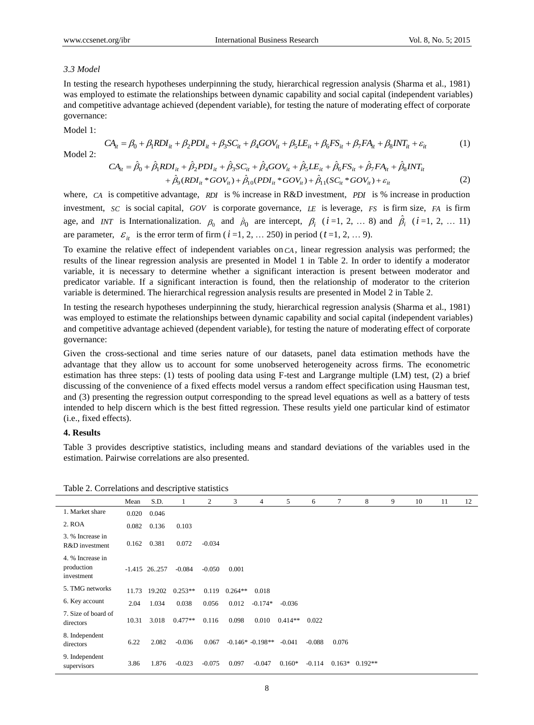#### *3.3 Model*

In testing the research hypotheses underpinning the study, hierarchical regression analysis (Sharma et al., 1981) was employed to estimate the relationships between dynamic capability and social capital (independent variables) and competitive advantage achieved (dependent variable), for testing the nature of moderating effect of corporate governance:

Model 1:

$$
CA_{it} = \beta_0 + \beta_1 RDI_{it} + \beta_2 PDI_{it} + \beta_3 SC_{it} + \beta_4 GOV_{it} + \beta_5 LE_{it} + \beta_6 FS_{it} + \beta_7 FA_{it} + \beta_8 INT_{it} + \varepsilon_{it}
$$
(1)

Model 2:

$$
CA_{it} = \hat{\beta}_0 + \hat{\beta}_1 RDI_{it} + \hat{\beta}_2 PDI_{it} + \hat{\beta}_3 SC_{it} + \hat{\beta}_4 GOV_{it} + \hat{\beta}_5 LE_{it} + \hat{\beta}_6 FS_{it} + \hat{\beta}_7 FA_{it} + \hat{\beta}_8 INT_{it} + \hat{\beta}_9 (RDI_{it} * GOV_{it}) + \hat{\beta}_{10} (PDI_{it} * GOV_{it}) + \hat{\beta}_{11} (SC_{it} * GOV_{it}) + \varepsilon_{it}
$$
(2)

where, *CA* is competitive advantage, *RDI* is % increase in R&D investment, *PDI* is % increase in production investment,  $SC$  is social capital,  $GOV$  is corporate governance,  $LE$  is leverage,  $FS$  is firm size,  $FA$  is firm age, and *INT* is Internationalization.  $\beta_0$  and  $\hat{\beta}_0$  are intercept,  $\beta_i$  (*i*=1, 2, ... 8) and  $\hat{\beta}_i$  (*i*=1, 2, ... 11) are parameter,  $\varepsilon_{it}$  is the error term of firm ( $i=1, 2, ... 250$ ) in period ( $t=1, 2, ... 9$ ).

To examine the relative effect of independent variables on *CA* , linear regression analysis was performed; the results of the linear regression analysis are presented in Model 1 in Table 2. In order to identify a moderator variable, it is necessary to determine whether a significant interaction is present between moderator and predicator variable. If a significant interaction is found, then the relationship of moderator to the criterion variable is determined. The hierarchical regression analysis results are presented in Model 2 in Table 2.

In testing the research hypotheses underpinning the study, hierarchical regression analysis (Sharma et al., 1981) was employed to estimate the relationships between dynamic capability and social capital (independent variables) and competitive advantage achieved (dependent variable), for testing the nature of moderating effect of corporate governance:

Given the cross-sectional and time series nature of our datasets, panel data estimation methods have the advantage that they allow us to account for some unobserved heterogeneity across firms. The econometric estimation has three steps: (1) tests of pooling data using F-test and Largrange multiple (LM) test, (2) a brief discussing of the convenience of a fixed effects model versus a random effect specification using Hausman test, and (3) presenting the regression output corresponding to the spread level equations as well as a battery of tests intended to help discern which is the best fitted regression. These results yield one particular kind of estimator (i.e., fixed effects).

## **4. Results**

Table 3 provides descriptive statistics, including means and standard deviations of the variables used in the estimation. Pairwise correlations are also presented.

|                                              | Mean  | S.D.            | 1         | 2        | 3         | 4                  | 5         | 6        | 7        | 8         | 9 | 10 | 11 | 12 |
|----------------------------------------------|-------|-----------------|-----------|----------|-----------|--------------------|-----------|----------|----------|-----------|---|----|----|----|
| 1. Market share                              | 0.020 | 0.046           |           |          |           |                    |           |          |          |           |   |    |    |    |
| 2. ROA                                       | 0.082 | 0.136           | 0.103     |          |           |                    |           |          |          |           |   |    |    |    |
| 3. % Increase in<br>R&D investment           | 0.162 | 0.381           | 0.072     | $-0.034$ |           |                    |           |          |          |           |   |    |    |    |
| 4. % Increase in<br>production<br>investment |       | $-1.415$ 26.257 | $-0.084$  | $-0.050$ | 0.001     |                    |           |          |          |           |   |    |    |    |
| 5. TMG networks                              | 11.73 | 19.202          | $0.253**$ | 0.119    | $0.264**$ | 0.018              |           |          |          |           |   |    |    |    |
| 6. Key account                               | 2.04  | 1.034           | 0.038     | 0.056    | 0.012     | $-0.174*$          | $-0.036$  |          |          |           |   |    |    |    |
| 7. Size of board of<br>directors             | 10.31 | 3.018           | $0.477**$ | 0.116    | 0.098     | 0.010              | $0.414**$ | 0.022    |          |           |   |    |    |    |
| 8. Independent<br>directors                  | 6.22  | 2.082           | $-0.036$  | 0.067    |           | $-0.146* -0.198**$ | $-0.041$  | $-0.088$ | 0.076    |           |   |    |    |    |
| 9. Independent<br>supervisors                | 3.86  | 1.876           | $-0.023$  | $-0.075$ | 0.097     | $-0.047$           | $0.160*$  | $-0.114$ | $0.163*$ | $0.192**$ |   |    |    |    |

Table 2. Correlations and descriptive statistics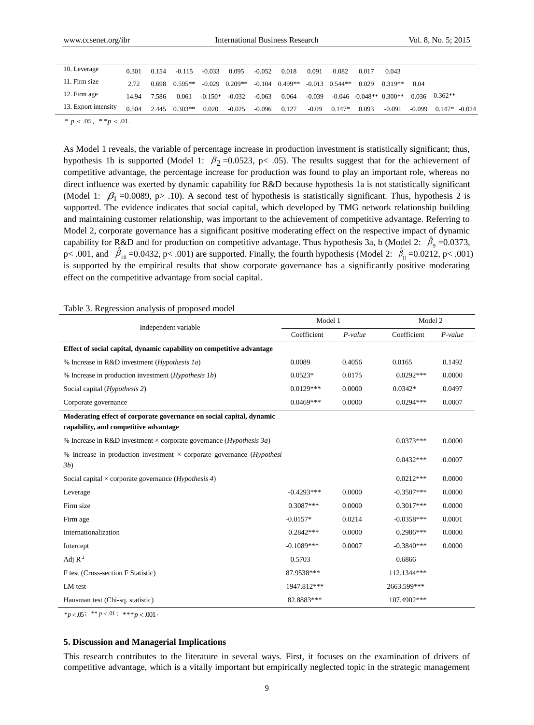| 10. Leverage                  | 0.301         | 0.154 | $-0.115$  | $-0.033$  | 0.095     | $-0.052$ | 0.018     | 0.091    | 0.082            | 0.017 | 0.043                       |          |                 |  |
|-------------------------------|---------------|-------|-----------|-----------|-----------|----------|-----------|----------|------------------|-------|-----------------------------|----------|-----------------|--|
| 11. Firm size                 | 2.72.         | 0.698 | $0.595**$ | $-0.029$  | $0.209**$ | $-0.104$ | $0.499**$ |          | $-0.013$ 0.544** | 0.029 | $0.319**$                   | 0.04     |                 |  |
| 12. Firm age                  | 14.94         | 7.586 | 0.061     | $-0.150*$ | $-0.032$  | $-0.063$ | 0.064     | $-0.039$ |                  |       | $-0.046$ $-0.048**$ 0.300** | 0.036    | $0.362**$       |  |
| 13. Export intensity          | 0.504         | 2.445 | $0.303**$ | 0.020     | $-0.025$  | $-0.096$ | 0.127     | $-0.09$  | $0.147*$         | 0.093 | $-0.091$                    | $-0.099$ | $0.147* -0.024$ |  |
| $\sim$ $ \sim$ $\sim$<br>$-1$ | $\sim$ $\sim$ |       |           |           |           |          |           |          |                  |       |                             |          |                 |  |

 $* p < .05, * p < .01.$ 

As Model 1 reveals, the variable of percentage increase in production investment is statistically significant; thus, hypothesis 1b is supported (Model 1:  $\beta_2$  =0.0523, p< .05). The results suggest that for the achievement of competitive advantage, the percentage increase for production was found to play an important role, whereas no direct influence was exerted by dynamic capability for R&D because hypothesis 1a is not statistically significant (Model 1:  $\beta_1$  =0.0089, p> .10). A second test of hypothesis is statistically significant. Thus, hypothesis 2 is supported. The evidence indicates that social capital, which developed by TMG network relationship building and maintaining customer relationship, was important to the achievement of competitive advantage. Referring to Model 2, corporate governance has a significant positive moderating effect on the respective impact of dynamic capability for R&D and for production on competitive advantage. Thus hypothesis 3a, b (Model 2:  $\hat{\beta}_9 = 0.0373$ , p< .001, and  $\hat{\beta}_{10}$  =0.0432, p< .001) are supported. Finally, the fourth hypothesis (Model 2:  $\hat{\beta}_{11}$  =0.0212, p< .001) is supported by the empirical results that show corporate governance has a significantly positive moderating effect on the competitive advantage from social capital.

| Table 3. Regression analysis of proposed model                                                                |              |           |              |            |  |  |
|---------------------------------------------------------------------------------------------------------------|--------------|-----------|--------------|------------|--|--|
|                                                                                                               | Model 1      |           | Model 2      |            |  |  |
| Independent variable                                                                                          | Coefficient  | $P-value$ | Coefficient  | $P$ -value |  |  |
| Effect of social capital, dynamic capability on competitive advantage                                         |              |           |              |            |  |  |
| % Increase in R&D investment ( <i>Hypothesis 1a</i> )                                                         | 0.0089       | 0.4056    | 0.0165       | 0.1492     |  |  |
| % Increase in production investment ( <i>Hypothesis 1b</i> )                                                  | $0.0523*$    | 0.0175    | $0.0292***$  | 0.0000     |  |  |
| Social capital ( <i>Hypothesis 2</i> )                                                                        | $0.0129***$  | 0.0000    | $0.0342*$    | 0.0497     |  |  |
| Corporate governance                                                                                          | $0.0469***$  | 0.0000    | $0.0294***$  | 0.0007     |  |  |
| Moderating effect of corporate governance on social capital, dynamic<br>capability, and competitive advantage |              |           |              |            |  |  |
| % Increase in R&D investment $\times$ corporate governance ( <i>Hypothesis 3a</i> )                           |              |           | $0.0373***$  | 0.0000     |  |  |
| % Increase in production investment $\times$ corporate governance ( <i>Hypothesi</i><br>3b)                   |              |           | $0.0432***$  | 0.0007     |  |  |
| Social capital $\times$ corporate governance ( <i>Hypothesis 4</i> )                                          |              |           | $0.0212***$  | 0.0000     |  |  |
| Leverage                                                                                                      | $-0.4293***$ | 0.0000    | $-0.3507***$ | 0.0000     |  |  |
| Firm size                                                                                                     | $0.3087***$  | 0.0000    | $0.3017***$  | 0.0000     |  |  |
| Firm age                                                                                                      | $-0.0157*$   | 0.0214    | $-0.0358***$ | 0.0001     |  |  |
| Internationalization                                                                                          | $0.2842***$  | 0.0000    | $0.2986***$  | 0.0000     |  |  |
| Intercept                                                                                                     | $-0.1089***$ | 0.0007    | $-0.3840***$ | 0.0000     |  |  |
| Adj $R^2$                                                                                                     | 0.5703       |           | 0.6866       |            |  |  |
| F test (Cross-section F Statistic)                                                                            | 87.9538***   |           | 112.1344***  |            |  |  |
| LM test                                                                                                       | 1947.812***  |           | 2663.599***  |            |  |  |
| Hausman test (Chi-sq. statistic)                                                                              | 82.8883***   |           | 107.4902***  |            |  |  |

# Table 3. Regression analysis of proposed model

 $*_{p < .05}$ ;  $*_{p < .01}$ ;  $*_{p < .001}$ .

#### **5. Discussion and Managerial Implications**

This research contributes to the literature in several ways. First, it focuses on the examination of drivers of competitive advantage, which is a vitally important but empirically neglected topic in the strategic management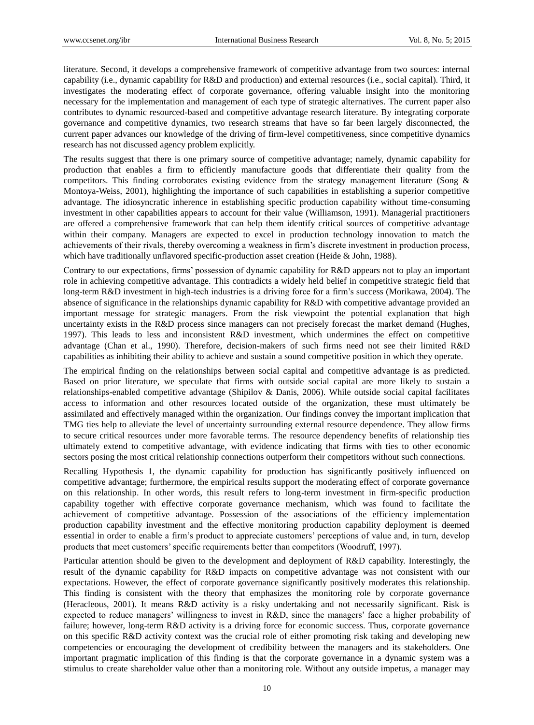literature. Second, it develops a comprehensive framework of competitive advantage from two sources: internal capability (i.e., dynamic capability for R&D and production) and external resources (i.e., social capital). Third, it investigates the moderating effect of corporate governance, offering valuable insight into the monitoring necessary for the implementation and management of each type of strategic alternatives. The current paper also contributes to dynamic resourced-based and competitive advantage research literature. By integrating corporate governance and competitive dynamics, two research streams that have so far been largely disconnected, the current paper advances our knowledge of the driving of firm-level competitiveness, since competitive dynamics research has not discussed agency problem explicitly.

The results suggest that there is one primary source of competitive advantage; namely, dynamic capability for production that enables a firm to efficiently manufacture goods that differentiate their quality from the competitors. This finding corroborates existing evidence from the strategy management literature (Song & Montoya-Weiss, 2001), highlighting the importance of such capabilities in establishing a superior competitive advantage. The idiosyncratic inherence in establishing specific production capability without time-consuming investment in other capabilities appears to account for their value (Williamson, 1991). Managerial practitioners are offered a comprehensive framework that can help them identify critical sources of competitive advantage within their company. Managers are expected to excel in production technology innovation to match the achievements of their rivals, thereby overcoming a weakness in firm"s discrete investment in production process, which have traditionally unflavored specific-production asset creation (Heide & John, 1988).

Contrary to our expectations, firms" possession of dynamic capability for R&D appears not to play an important role in achieving competitive advantage. This contradicts a widely held belief in competitive strategic field that long-term R&D investment in high-tech industries is a driving force for a firm"s success (Morikawa, 2004). The absence of significance in the relationships dynamic capability for R&D with competitive advantage provided an important message for strategic managers. From the risk viewpoint the potential explanation that high uncertainty exists in the R&D process since managers can not precisely forecast the market demand (Hughes, 1997). This leads to less and inconsistent R&D investment, which undermines the effect on competitive advantage (Chan et al., 1990). Therefore, decision-makers of such firms need not see their limited R&D capabilities as inhibiting their ability to achieve and sustain a sound competitive position in which they operate.

The empirical finding on the relationships between social capital and competitive advantage is as predicted. Based on prior literature, we speculate that firms with outside social capital are more likely to sustain a relationships-enabled competitive advantage (Shipilov & Danis, 2006). While outside social capital facilitates access to information and other resources located outside of the organization, these must ultimately be assimilated and effectively managed within the organization. Our findings convey the important implication that TMG ties help to alleviate the level of uncertainty surrounding external resource dependence. They allow firms to secure critical resources under more favorable terms. The resource dependency benefits of relationship ties ultimately extend to competitive advantage, with evidence indicating that firms with ties to other economic sectors posing the most critical relationship connections outperform their competitors without such connections.

Recalling Hypothesis 1, the dynamic capability for production has significantly positively influenced on competitive advantage; furthermore, the empirical results support the moderating effect of corporate governance on this relationship. In other words, this result refers to long-term investment in firm-specific production capability together with effective corporate governance mechanism, which was found to facilitate the achievement of competitive advantage. Possession of the associations of the efficiency implementation production capability investment and the effective monitoring production capability deployment is deemed essential in order to enable a firm"s product to appreciate customers" perceptions of value and, in turn, develop products that meet customers" specific requirements better than competitors (Woodruff, 1997).

Particular attention should be given to the development and deployment of R&D capability. Interestingly, the result of the dynamic capability for R&D impacts on competitive advantage was not consistent with our expectations. However, the effect of corporate governance significantly positively moderates this relationship. This finding is consistent with the theory that emphasizes the monitoring role by corporate governance (Heracleous, 2001). It means R&D activity is a risky undertaking and not necessarily significant. Risk is expected to reduce managers" willingness to invest in R&D, since the managers" face a higher probability of failure; however, long-term R&D activity is a driving force for economic success. Thus, corporate governance on this specific R&D activity context was the crucial role of either promoting risk taking and developing new competencies or encouraging the development of credibility between the managers and its stakeholders. One important pragmatic implication of this finding is that the corporate governance in a dynamic system was a stimulus to create shareholder value other than a monitoring role. Without any outside impetus, a manager may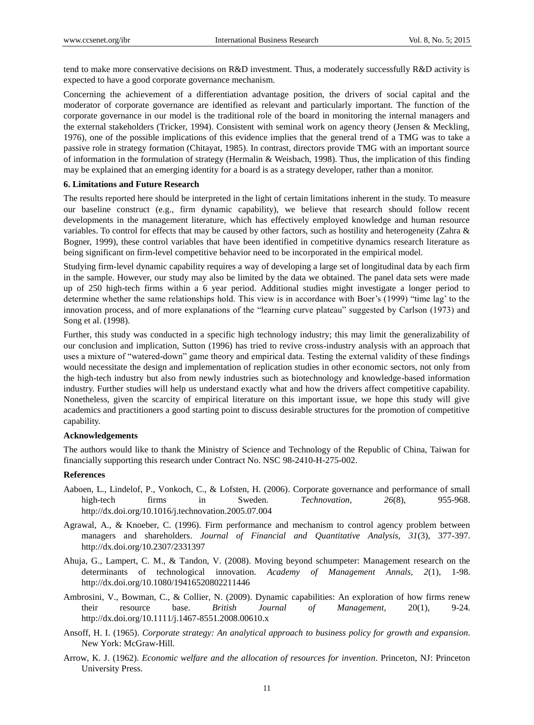tend to make more conservative decisions on R&D investment. Thus, a moderately successfully R&D activity is expected to have a good corporate governance mechanism.

Concerning the achievement of a differentiation advantage position, the drivers of social capital and the moderator of corporate governance are identified as relevant and particularly important. The function of the corporate governance in our model is the traditional role of the board in monitoring the internal managers and the external stakeholders (Tricker, 1994). Consistent with seminal work on agency theory (Jensen & Meckling, 1976), one of the possible implications of this evidence implies that the general trend of a TMG was to take a passive role in strategy formation (Chitayat, 1985). In contrast, directors provide TMG with an important source of information in the formulation of strategy (Hermalin & Weisbach, 1998). Thus, the implication of this finding may be explained that an emerging identity for a board is as a strategy developer, rather than a monitor.

## **6. Limitations and Future Research**

The results reported here should be interpreted in the light of certain limitations inherent in the study. To measure our baseline construct (e.g., firm dynamic capability), we believe that research should follow recent developments in the management literature, which has effectively employed knowledge and human resource variables. To control for effects that may be caused by other factors, such as hostility and heterogeneity (Zahra & Bogner, 1999), these control variables that have been identified in competitive dynamics research literature as being significant on firm-level competitive behavior need to be incorporated in the empirical model.

Studying firm-level dynamic capability requires a way of developing a large set of longitudinal data by each firm in the sample. However, our study may also be limited by the data we obtained. The panel data sets were made up of 250 high-tech firms within a 6 year period. Additional studies might investigate a longer period to determine whether the same relationships hold. This view is in accordance with Boer's (1999) "time lag' to the innovation process, and of more explanations of the "learning curve plateau" suggested by Carlson (1973) and Song et al. (1998).

Further, this study was conducted in a specific high technology industry; this may limit the generalizability of our conclusion and implication, Sutton (1996) has tried to revive cross-industry analysis with an approach that uses a mixture of "watered-down" game theory and empirical data. Testing the external validity of these findings would necessitate the design and implementation of replication studies in other economic sectors, not only from the high-tech industry but also from newly industries such as biotechnology and knowledge-based information industry. Further studies will help us understand exactly what and how the drivers affect competitive capability. Nonetheless, given the scarcity of empirical literature on this important issue, we hope this study will give academics and practitioners a good starting point to discuss desirable structures for the promotion of competitive capability.

## **Acknowledgements**

The authors would like to thank the Ministry of Science and Technology of the Republic of China, Taiwan for financially supporting this research under Contract No. NSC 98-2410-H-275-002.

## **References**

- Aaboen, L., Lindelof, P., Vonkoch, C., & Lofsten, H. (2006). Corporate governance and performance of small high-tech firms in Sweden. *Technovation, 26*(8), 955-968. http://dx.doi.org/10.1016/j.technovation.2005.07.004
- Agrawal, A., & Knoeber, C. (1996). Firm performance and mechanism to control agency problem between managers and shareholders. *Journal of Financial and Quantitative Analysis, 31*(3), 377-397. http://dx.doi.org/10.2307/2331397
- Ahuja, G., Lampert, C. M., & Tandon, V. (2008). Moving beyond schumpeter: Management research on the determinants of technological innovation. *Academy of Management Annals, 2*(1), 1-98. http://dx.doi.org/10.1080/19416520802211446
- Ambrosini, V., Bowman, C., & Collier, N. (2009). Dynamic capabilities: An exploration of how firms renew their resource base. *British Journal of Management,* 20(1), 9-24. http://dx.doi.org/10.1111/j.1467-8551.2008.00610.x
- Ansoff, H. I. (1965). *Corporate strategy: An analytical approach to business policy for growth and expansion*. New York: McGraw-Hill.
- Arrow, K. J. (1962). *Economic welfare and the allocation of resources for invention*. Princeton, NJ: Princeton University Press.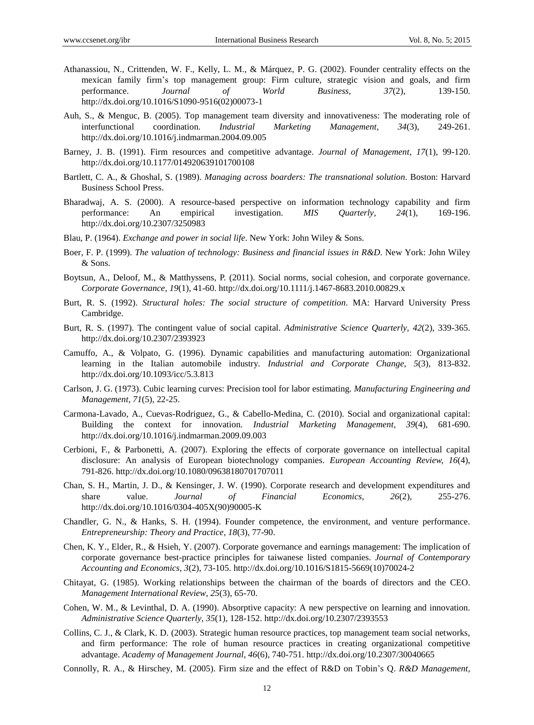- Athanassiou, N., Crittenden, W. F., Kelly, L. M., & Márquez, P. G. (2002). Founder centrality effects on the mexican family firm"s top management group: Firm culture, strategic vision and goals, and firm performance. *Journal of World Business, 37*(2), 139-150. http://dx.doi.org/10.1016/S1090-9516(02)00073-1
- Auh, S., & Menguc, B. (2005). Top management team diversity and innovativeness: The moderating role of interfunctional coordination. *Industrial Marketing Management, 34*(3), 249-261. http://dx.doi.org/10.1016/j.indmarman.2004.09.005
- Barney, J. B. (1991). Firm resources and competitive advantage. *Journal of Management, 17*(1), 99-120. http://dx.doi.org/10.1177/014920639101700108
- Bartlett, C. A., & Ghoshal, S. (1989). *Managing across boarders: The transnational solution*. Boston: Harvard Business School Press.
- Bharadwaj, A. S. (2000). A resource-based perspective on information technology capability and firm performance: An empirical investigation. *MIS Quarterly, 24*(1), 169-196. http://dx.doi.org/10.2307/3250983
- Blau, P. (1964). *Exchange and power in social life*. New York: John Wiley & Sons.
- Boer, F. P. (1999). *The valuation of technology: Business and financial issues in R&D*. New York: John Wiley & Sons.
- Boytsun, A., Deloof, M., & Matthyssens, P. (2011). Social norms, social cohesion, and corporate governance. *Corporate Governance, 19*(1), 41-60. http://dx.doi.org/10.1111/j.1467-8683.2010.00829.x
- Burt, R. S. (1992). *Structural holes: The social structure of competition*. MA: Harvard University Press Cambridge.
- Burt, R. S. (1997). The contingent value of social capital. *Administrative Science Quarterly, 42*(2), 339-365. http://dx.doi.org/10.2307/2393923
- Camuffo, A., & Volpato, G. (1996). Dynamic capabilities and manufacturing automation: Organizational learning in the Italian automobile industry*. Industrial and Corporate Change, 5*(3), 813-832. http://dx.doi.org/10.1093/icc/5.3.813
- Carlson, J. G. (1973). Cubic learning curves: Precision tool for labor estimating. *Manufacturing Engineering and Management, 71*(5), 22-25.
- Carmona-Lavado, A., Cuevas-Rodriguez, G., & Cabello-Medina, C. (2010). Social and organizational capital: Building the context for innovation. *Industrial Marketing Management, 39*(4), 681-690. http://dx.doi.org/10.1016/j.indmarman.2009.09.003
- Cerbioni, F., & Parbonetti, A. (2007). Exploring the effects of corporate governance on intellectual capital disclosure: An analysis of European biotechnology companies. *European Accounting Review, 16*(4), 791-826. http://dx.doi.org/10.1080/09638180701707011
- Chan, S. H., Martin, J. D., & Kensinger, J. W. (1990). Corporate research and development expenditures and share value. *Journal of Financial Economics, 26*(2), 255-276. http://dx.doi.org/10.1016/0304-405X(90)90005-K
- Chandler, G. N., & Hanks, S. H. (1994). Founder competence, the environment, and venture performance. *Entrepreneurship: Theory and Practice, 18*(3), 77-90.
- Chen, K. Y., Elder, R., & Hsieh, Y. (2007). Corporate governance and earnings management: The implication of corporate governance best-practice principles for taiwanese listed companies. *Journal of Contemporary Accounting and Economics, 3*(2), 73-105. http://dx.doi.org/10.1016/S1815-5669(10)70024-2
- Chitayat, G. (1985). Working relationships between the chairman of the boards of directors and the CEO. *Management International Review, 25*(3), 65-70.
- Cohen, W. M., & Levinthal, D. A. (1990). Absorptive capacity: A new perspective on learning and innovation. *Administrative Science Quarterly, 35*(1), 128-152. http://dx.doi.org/10.2307/2393553
- Collins, C. J., & Clark, K. D. (2003). Strategic human resource practices, top management team social networks, and firm performance: The role of human resource practices in creating organizational competitive advantage. *Academy of Management Journal, 46*(6), 740-751. http://dx.doi.org/10.2307/30040665
- Connolly, R. A., & Hirschey, M. (2005). Firm size and the effect of R&D on Tobin"s Q. *R&D Management,*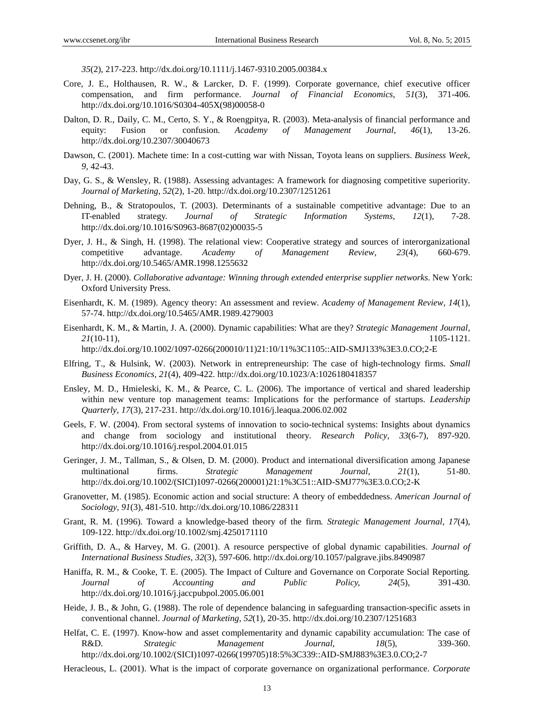*35*(2), 217-223. http://dx.doi.org/10.1111/j.1467-9310.2005.00384.x

- Core, J. E., Holthausen, R. W., & Larcker, D. F. (1999). Corporate governance, chief executive officer compensation, and firm performance. *Journal of Financial Economics, 51*(3), 371-406. http://dx.doi.org/10.1016/S0304-405X(98)00058-0
- Dalton, D. R., Daily, C. M., Certo, S. Y., & Roengpitya, R. (2003). Meta-analysis of financial performance and equity: Fusion or confusion. *Academy of Management Journal, 46*(1), 13-26. http://dx.doi.org/10.2307/30040673
- Dawson, C. (2001). Machete time: In a cost-cutting war with Nissan, Toyota leans on suppliers. *Business Week, 9*, 42-43.
- Day, G. S., & Wensley, R. (1988). Assessing advantages: A framework for diagnosing competitive superiority. *Journal of Marketing, 52*(2), 1-20. http://dx.doi.org/10.2307/1251261
- Dehning, B., & Stratopoulos, T. (2003). Determinants of a sustainable competitive advantage: Due to an IT-enabled strategy. *Journal of Strategic Information Systems, 12*(1), 7-28. http://dx.doi.org/10.1016/S0963-8687(02)00035-5
- Dyer, J. H., & Singh, H. (1998). The relational view: Cooperative strategy and sources of interorganizational competitive advantage. *Academy of Management Review, 23*(4), 660-679. http://dx.doi.org/10.5465/AMR.1998.1255632
- Dyer, J. H. (2000). *Collaborative advantage: Winning through extended enterprise supplier networks*. New York: Oxford University Press.
- Eisenhardt, K. M. (1989). Agency theory: An assessment and review. *Academy of Management Review, 14*(1), 57-74. http://dx.doi.org/10.5465/AMR.1989.4279003
- Eisenhardt, K. M., & Martin, J. A. (2000). Dynamic capabilities: What are they? *Strategic Management Journal, 21*(10-11), 1105-1121. http://dx.doi.org/10.1002/1097-0266(200010/11)21:10/11%3C1105::AID-SMJ133%3E3.0.CO;2-E
- Elfring, T., & Hulsink, W. (2003). Network in entrepreneurship: The case of high-technology firms. *Small Business Economics, 21*(4), 409-422. http://dx.doi.org/10.1023/A:1026180418357
- Ensley, M. D., Hmieleski, K. M., & Pearce, C. L. (2006). The importance of vertical and shared leadership within new venture top management teams: Implications for the performance of startups. *Leadership Quarterly, 17*(3), 217-231. http://dx.doi.org/10.1016/j.leaqua.2006.02.002
- Geels, F. W. (2004). From sectoral systems of innovation to socio-technical systems: Insights about dynamics and change from sociology and institutional theory. *Research Policy, 33*(6-7), 897-920. http://dx.doi.org/10.1016/j.respol.2004.01.015
- Geringer, J. M., Tallman, S., & Olsen, D. M. (2000). Product and international diversification among Japanese multinational firms. *Strategic Management Journal, 21*(1), 51-80. http://dx.doi.org/10.1002/(SICI)1097-0266(200001)21:1%3C51::AID-SMJ77%3E3.0.CO;2-K
- Granovetter, M. (1985). Economic action and social structure: A theory of embeddedness. *American Journal of Sociology, 91*(3), 481-510. http://dx.doi.org/10.1086/228311
- Grant, R. M. (1996). Toward a knowledge-based theory of the firm*. Strategic Management Journal, 17*(4), 109-122. http://dx.doi.org/10.1002/smj.4250171110
- Griffith, D. A., & Harvey, M. G. (2001). A resource perspective of global dynamic capabilities. *Journal of International Business Studies, 32*(3), 597-606. http://dx.doi.org/10.1057/palgrave.jibs.8490987
- Haniffa, R. M., & Cooke, T. E. (2005). The Impact of Culture and Governance on Corporate Social Reporting*. Journal of Accounting and Public Policy, 24*(5), 391-430. http://dx.doi.org/10.1016/j.jaccpubpol.2005.06.001
- Heide, J. B., & John, G. (1988). The role of dependence balancing in safeguarding transaction-specific assets in conventional channel. *Journal of Marketing, 52*(1), 20-35. http://dx.doi.org/10.2307/1251683
- Helfat, C. E. (1997). Know-how and asset complementarity and dynamic capability accumulation: The case of R&D*. Strategic Management Journal, 18*(5), 339-360. http://dx.doi.org/10.1002/(SICI)1097-0266(199705)18:5%3C339::AID-SMJ883%3E3.0.CO;2-7
- Heracleous, L. (2001). What is the impact of corporate governance on organizational performance. *Corporate*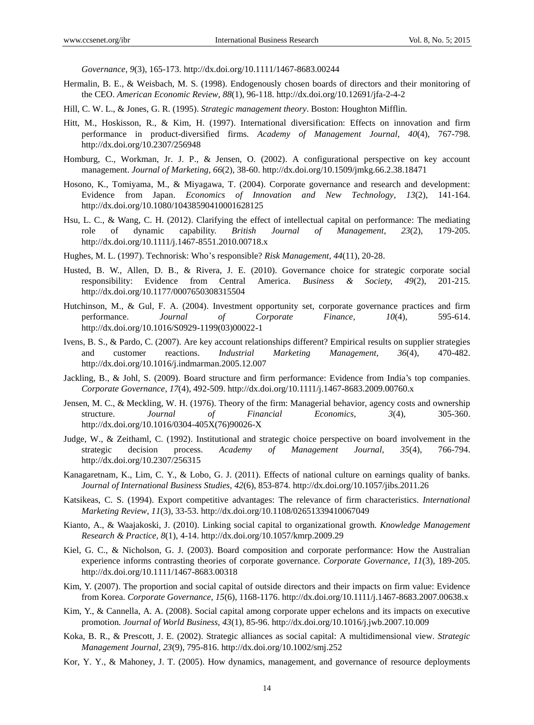*Governance, 9*(3), 165-173. http://dx.doi.org/10.1111/1467-8683.00244

- Hermalin, B. E., & Weisbach, M. S. (1998). Endogenously chosen boards of directors and their monitoring of the CEO. *American Economic Review, 88*(1), 96-118. http://dx.doi.org/10.12691/jfa-2-4-2
- Hill, C. W. L., & Jones, G. R. (1995). *Strategic management theory*. Boston: Houghton Mifflin.
- Hitt, M., Hoskisson, R., & Kim, H. (1997). International diversification: Effects on innovation and firm performance in product-diversified firms. *Academy of Management Journal, 40*(4), 767-798. http://dx.doi.org/10.2307/256948
- Homburg, C., Workman, Jr. J. P., & Jensen, O. (2002). A configurational perspective on key account management. *Journal of Marketing, 66*(2), 38-60. http://dx.doi.org/10.1509/jmkg.66.2.38.18471
- Hosono, K., Tomiyama, M., & Miyagawa, T. (2004). Corporate governance and research and development: Evidence from Japan. *Economics of Innovation and New Technology, 13*(2), 141-164. http://dx.doi.org/10.1080/10438590410001628125
- Hsu, L. C., & Wang, C. H. (2012). Clarifying the effect of intellectual capital on performance: The mediating role of dynamic capability. *British Journal of Management, 23*(2), 179-205. http://dx.doi.org/10.1111/j.1467-8551.2010.00718.x
- Hughes, M. L. (1997). Technorisk: Who"s responsible? *Risk Management, 44*(11), 20-28.
- Husted, B. W., Allen, D. B., & Rivera, J. E. (2010). Governance choice for strategic corporate social responsibility: Evidence from Central America. *Business & Society, 49*(2), 201-215. http://dx.doi.org/10.1177/0007650308315504
- Hutchinson, M., & Gul, F. A. (2004). Investment opportunity set, corporate governance practices and firm performance. *Journal of Corporate Finance, 10*(4), 595-614. http://dx.doi.org/10.1016/S0929-1199(03)00022-1
- Ivens, B. S., & Pardo, C. (2007). Are key account relationships different? Empirical results on supplier strategies and customer reactions. *Industrial Marketing Management, 36*(4), 470-482. http://dx.doi.org/10.1016/j.indmarman.2005.12.007
- Jackling, B., & Johl, S. (2009). Board structure and firm performance: Evidence from India"s top companies. *Corporate Governance, 17*(4), 492-509. http://dx.doi.org/10.1111/j.1467-8683.2009.00760.x
- Jensen, M. C., & Meckling, W. H. (1976). Theory of the firm: Managerial behavior, agency costs and ownership structure. *Journal of Financial Economics, 3*(4), 305-360. http://dx.doi.org/10.1016/0304-405X(76)90026-X
- Judge, W., & Zeithaml, C. (1992). Institutional and strategic choice perspective on board involvement in the strategic decision process. *Academy of Management Journal, 35*(4), 766-794. http://dx.doi.org/10.2307/256315
- Kanagaretnam, K., Lim, C. Y., & Lobo, G. J. (2011). Effects of national culture on earnings quality of banks. *Journal of International Business Studies, 42*(6), 853-874. http://dx.doi.org/10.1057/jibs.2011.26
- Katsikeas, C. S. (1994). Export competitive advantages: The relevance of firm characteristics. *International Marketing Review, 11*(3), 33-53. http://dx.doi.org/10.1108/02651339410067049
- Kianto, A., & Waajakoski, J. (2010). Linking social capital to organizational growth. *Knowledge Management Research & Practice, 8*(1), 4-14. http://dx.doi.org/10.1057/kmrp.2009.29
- Kiel, G. C., & Nicholson, G. J. (2003). Board composition and corporate performance: How the Australian experience informs contrasting theories of corporate governance. *Corporate Governance, 11*(3), 189-205. http://dx.doi.org/10.1111/1467-8683.00318
- Kim, Y. (2007). The proportion and social capital of outside directors and their impacts on firm value: Evidence from Korea. *Corporate Governance, 15*(6), 1168-1176. http://dx.doi.org/10.1111/j.1467-8683.2007.00638.x
- Kim, Y., & Cannella, A. A. (2008). Social capital among corporate upper echelons and its impacts on executive promotion. *Journal of World Business, 43*(1), 85-96. http://dx.doi.org/10.1016/j.jwb.2007.10.009
- Koka, B. R., & Prescott, J. E. (2002). Strategic alliances as social capital: A multidimensional view. *Strategic Management Journal, 23*(9), 795-816. http://dx.doi.org/10.1002/smj.252
- Kor, Y. Y., & Mahoney, J. T. (2005). How dynamics, management, and governance of resource deployments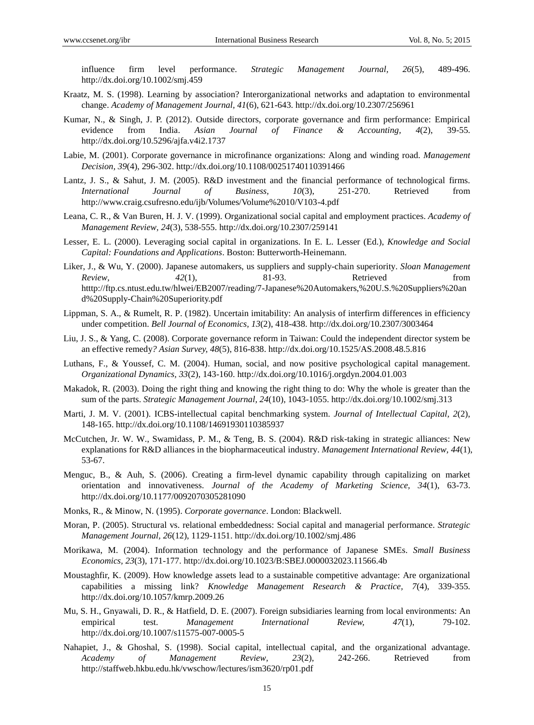influence firm level performance. *Strategic Management Journal, 26*(5), 489-496. http://dx.doi.org/10.1002/smj.459

- Kraatz, M. S. (1998). Learning by association? Interorganizational networks and adaptation to environmental change. *Academy of Management Journal, 41*(6), 621-643. http://dx.doi.org/10.2307/256961
- Kumar, N., & Singh, J. P. (2012). Outside directors, corporate governance and firm performance: Empirical evidence from India. *Asian Journal of Finance & Accounting, 4*(2), 39-55. http://dx.doi.org/10.5296/ajfa.v4i2.1737
- Labie, M. (2001). Corporate governance in microfinance organizations: Along and winding road. *Management Decision, 39*(4), 296-302. http://dx.doi.org/10.1108/00251740110391466
- Lantz, J. S., & Sahut, J. M. (2005). R&D investment and the financial performance of technological firms. *International Journal of Business, 10*(3), 251-270. Retrieved from http://www.craig.csufresno.edu/ijb/Volumes/Volume%2010/V103-4.pdf
- Leana, C. R., & Van Buren, H. J. V. (1999). Organizational social capital and employment practices. *Academy of Management Review, 24*(3), 538-555. http://dx.doi.org/10.2307/259141
- Lesser, E. L. (2000). Leveraging social capital in organizations. In E. L. Lesser (Ed.), *Knowledge and Social Capital: Foundations and Applications*. Boston: Butterworth-Heinemann.
- Liker, J., & Wu, Y. (2000). Japanese automakers, us suppliers and supply-chain superiority. *Sloan Management Review, 42*(1), 81-93. Retrieved from htttp://ftp.cs.ntust.edu.tw/hlwei/EB2007/reading/7-Japanese%20Automakers,%20U.S.%20Suppliers%20an d%20Supply-Chain%20Superiority.pdf
- Lippman, S. A., & Rumelt, R. P. (1982). Uncertain imitability: An analysis of interfirm differences in efficiency under competition. *Bell Journal of Economics, 13*(2), 418-438. http://dx.doi.org/10.2307/3003464
- Liu, J. S., & Yang, C. (2008). Corporate governance reform in Taiwan: Could the independent director system be an effective remedy*? Asian Survey, 48*(5), 816-838. http://dx.doi.org/10.1525/AS.2008.48.5.816
- Luthans, F., & Youssef, C. M. (2004). Human, social, and now positive psychological capital management. *Organizational Dynamics, 33*(2), 143-160. http://dx.doi.org/10.1016/j.orgdyn.2004.01.003
- Makadok, R. (2003). Doing the right thing and knowing the right thing to do: Why the whole is greater than the sum of the parts. *Strategic Management Journal, 24*(10), 1043-1055. http://dx.doi.org/10.1002/smj.313
- Marti, J. M. V. (2001). ICBS-intellectual capital benchmarking system. *Journal of Intellectual Capital, 2*(2), 148-165. http://dx.doi.org/10.1108/14691930110385937
- McCutchen, Jr. W. W., Swamidass, P. M., & Teng, B. S. (2004). R&D risk-taking in strategic alliances: New explanations for R&D alliances in the biopharmaceutical industry. *Management International Review, 44*(1), 53-67.
- Menguc, B., & Auh, S. (2006). Creating a firm-level dynamic capability through capitalizing on market orientation and innovativeness. *Journal of the Academy of Marketing Science, 34*(1), 63-73. http://dx.doi.org/10.1177/0092070305281090
- Monks, R., & Minow, N. (1995). *Corporate governance*. London: Blackwell.
- Moran, P. (2005). Structural vs. relational embeddedness: Social capital and managerial performance. *Strategic Management Journal, 26*(12), 1129-1151. http://dx.doi.org/10.1002/smj.486
- Morikawa, M. (2004). Information technology and the performance of Japanese SMEs. *Small Business Economics, 23*(3), 171-177. http://dx.doi.org/10.1023/B:SBEJ.0000032023.11566.4b
- Moustaghfir, K. (2009). How knowledge assets lead to a sustainable competitive advantage: Are organizational capabilities a missing link? *Knowledge Management Research & Practice, 7*(4), 339-355. http://dx.doi.org/10.1057/kmrp.2009.26
- Mu, S. H., Gnyawali, D. R., & Hatfield, D. E. (2007). Foreign subsidiaries learning from local environments: An empirical test. *Management International Review, 47*(1), 79-102. http://dx.doi.org/10.1007/s11575-007-0005-5
- Nahapiet, J., & Ghoshal, S. (1998). Social capital, intellectual capital, and the organizational advantage. *Academy of Management Review, 23*(2), 242-266. Retrieved from http://staffweb.hkbu.edu.hk/vwschow/lectures/ism3620/rp01.pdf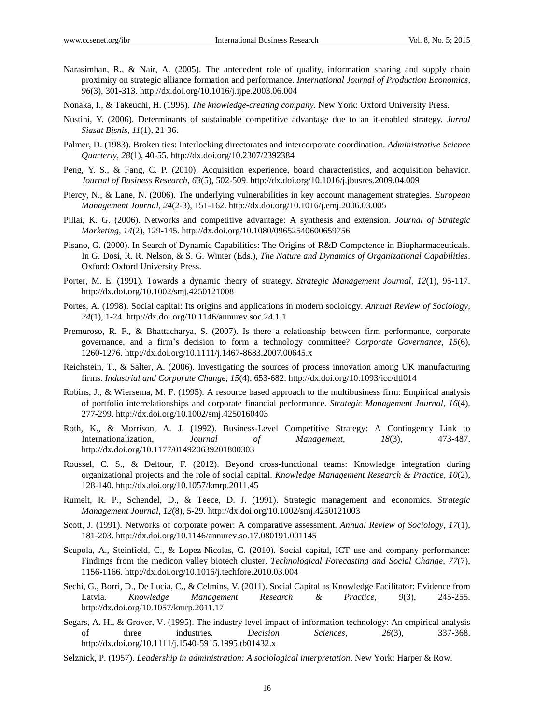- Narasimhan, R., & Nair, A. (2005). The antecedent role of quality, information sharing and supply chain proximity on strategic alliance formation and performance. *International Journal of Production Economics, 96*(3), 301-313. http://dx.doi.org/10.1016/j.ijpe.2003.06.004
- Nonaka, I., & Takeuchi, H. (1995). *The knowledge-creating company*. New York: Oxford University Press.
- Nustini*,* Y. (2006). Determinants of sustainable competitive advantage due to an it-enabled strategy. *Jurnal Siasat Bisnis, 11*(1), 21-36.
- Palmer, D. (1983). Broken ties: Interlocking directorates and intercorporate coordination. *Administrative Science Quarterly, 28*(1), 40-55. http://dx.doi.org/10.2307/2392384
- Peng, Y. S., & Fang, C. P. (2010). Acquisition experience, board characteristics, and acquisition behavior. *Journal of Business Research, 63*(5), 502-509. http://dx.doi.org/10.1016/j.jbusres.2009.04.009
- Piercy, N., & Lane, N. (2006). The underlying vulnerabilities in key account management strategies. *European Management Journal, 24*(2-3), 151-162. http://dx.doi.org/10.1016/j.emj.2006.03.005
- Pillai, K. G. (2006). Networks and competitive advantage: A synthesis and extension. *Journal of Strategic Marketing, 14*(2), 129-145. http://dx.doi.org/10.1080/09652540600659756
- Pisano, G. (2000). In Search of Dynamic Capabilities: The Origins of R&D Competence in Biopharmaceuticals. In G. Dosi, R. R. Nelson, & S. G. Winter (Eds.), *The Nature and Dynamics of Organizational Capabilities*. Oxford: Oxford University Press.
- Porter, M. E. (1991). Towards a dynamic theory of strategy. *Strategic Management Journal, 12*(1), 95-117. http://dx.doi.org/10.1002/smj.4250121008
- Portes, A. (1998). Social capital: Its origins and applications in modern sociology. *Annual Review of Sociology, 24*(1), 1-24. http://dx.doi.org/10.1146/annurev.soc.24.1.1
- Premuroso, R. F., & Bhattacharya, S. (2007). Is there a relationship between firm performance, corporate governance, and a firm"s decision to form a technology committee? *Corporate Governance, 15*(6), 1260-1276. http://dx.doi.org/10.1111/j.1467-8683.2007.00645.x
- Reichstein, T., & Salter, A. (2006). Investigating the sources of process innovation among UK manufacturing firms. *Industrial and Corporate Change, 15*(4), 653-682. http://dx.doi.org/10.1093/icc/dtl014
- Robins, J., & Wiersema, M. F. (1995). A resource based approach to the multibusiness firm: Empirical analysis of portfolio interrelationships and corporate financial performance. *Strategic Management Journal, 16*(4), 277-299. http://dx.doi.org/10.1002/smj.4250160403
- Roth, K., & Morrison, A. J. (1992). Business-Level Competitive Strategy: A Contingency Link to Internationalization, *Journal of Management, 18*(3), 473-487. http://dx.doi.org/10.1177/014920639201800303
- Roussel, C. S., & Deltour, F. (2012). Beyond cross-functional teams: Knowledge integration during organizational projects and the role of social capital. *Knowledge Management Research & Practice, 10*(2), 128-140. http://dx.doi.org/10.1057/kmrp.2011.45
- Rumelt, R. P., Schendel, D., & Teece, D. J. (1991). Strategic management and economics. *Strategic Management Journal, 12*(8), 5-29. http://dx.doi.org/10.1002/smj.4250121003
- Scott, J. (1991). Networks of corporate power: A comparative assessment. *Annual Review of Sociology, 17*(1), 181-203. http://dx.doi.org/10.1146/annurev.so.17.080191.001145
- Scupola, A., Steinfield, C., & Lopez-Nicolas, C. (2010). Social capital, ICT use and company performance: Findings from the medicon valley biotech cluster. *Technological Forecasting and Social Change, 77*(7), 1156-1166. http://dx.doi.org/10.1016/j.techfore.2010.03.004
- Sechi, G., Borri, D., De Lucia, C., & Celmins, V. (2011). Social Capital as Knowledge Facilitator: Evidence from Latvia*. Knowledge Management Research & Practice, 9*(3), 245-255. http://dx.doi.org/10.1057/kmrp.2011.17
- Segars, A. H., & Grover, V. (1995). The industry level impact of information technology: An empirical analysis of three industries. *Decision Sciences, 26*(3), 337-368. http://dx.doi.org/10.1111/j.1540-5915.1995.tb01432.x
- Selznick, P. (1957). *Leadership in administration: A sociological interpretation*. New York: Harper & Row.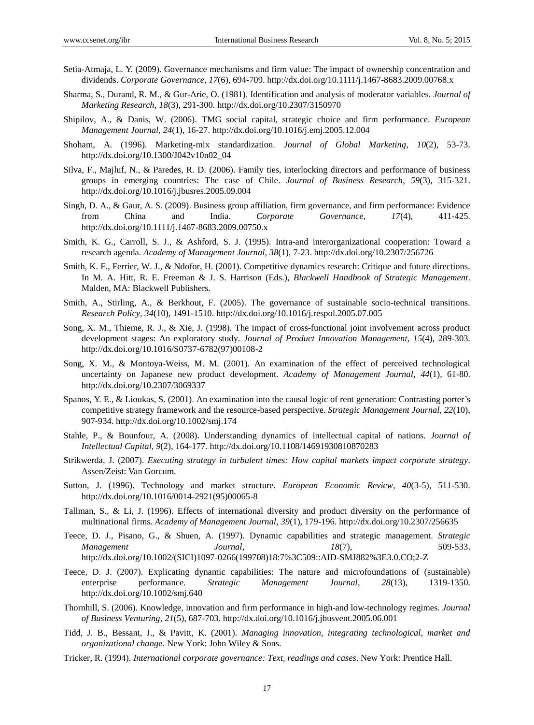- Setia-Atmaja, L. Y. (2009). Governance mechanisms and firm value: The impact of ownership concentration and dividends. *Corporate Governance, 17*(6), 694-709. http://dx.doi.org/10.1111/j.1467-8683.2009.00768.x
- Sharma, S., Durand, R. M., & Gur-Arie, O. (1981). Identification and analysis of moderator variables. *Journal of Marketing Research, 18*(3), 291-300. http://dx.doi.org/10.2307/3150970
- Shipilov, A., & Danis, W. (2006). TMG social capital, strategic choice and firm performance. *European Management Journal, 24*(1), 16-27. http://dx.doi.org/10.1016/j.emj.2005.12.004
- Shoham, A. (1996). Marketing-mix standardization. *Journal of Global Marketing, 10*(2), 53-73. http://dx.doi.org/10.1300/J042v10n02\_04
- Silva, F., Majluf, N., & Paredes, R. D. (2006). Family ties, interlocking directors and performance of business groups in emerging countries: The case of Chile. *Journal of Business Research, 59*(3), 315-321. http://dx.doi.org/10.1016/j.jbusres.2005.09.004
- Singh, D. A., & Gaur, A. S. (2009). Business group affiliation, firm governance, and firm performance: Evidence from China and India. *Corporate Governance, 17*(4), 411-425. http://dx.doi.org/10.1111/j.1467-8683.2009.00750.x
- Smith, K. G., Carroll, S. J., & Ashford, S. J. (1995). Intra-and interorganizational cooperation: Toward a research agenda. *Academy of Management Journal, 38*(1), 7-23. http://dx.doi.org/10.2307/256726
- Smith, K. F., Ferrier, W. J., & Ndofor, H. (2001). Competitive dynamics research: Critique and future directions. In M. A. Hitt, R. E. Freeman & J. S. Harrison (Eds.), *Blackwell Handbook of Strategic Management*. Malden, MA: Blackwell Publishers.
- Smith, A., Stirling, A., & Berkhout, F. (2005). The governance of sustainable socio-technical transitions. *Research Policy, 34*(10), 1491-1510. http://dx.doi.org/10.1016/j.respol.2005.07.005
- Song, X. M., Thieme, R. J., & Xie, J. (1998). The impact of cross-functional joint involvement across product development stages: An exploratory study. *Journal of Product Innovation Management, 15*(4), 289-303. http://dx.doi.org/10.1016/S0737-6782(97)00108-2
- Song, X. M., & Montoya-Weiss, M. M. (2001). An examination of the effect of perceived technological uncertainty on Japanese new product development. *Academy of Management Journal, 44*(1), 61-80. http://dx.doi.org/10.2307/3069337
- Spanos, Y. E., & Lioukas, S. (2001). An examination into the causal logic of rent generation: Contrasting porter"s competitive strategy framework and the resource-based perspective. *Strategic Management Journal, 22*(10), 907-934. http://dx.doi.org/10.1002/smj.174
- Stahle, P., & Bounfour, A. (2008). Understanding dynamics of intellectual capital of nations. *Journal of Intellectual Capital, 9*(2), 164-177. http://dx.doi.org/10.1108/14691930810870283
- Strikwerda, J. (2007). *Executing strategy in turbulent times: How capital markets impact corporate strategy*. Assen/Zeist: Van Gorcum.
- Sutton, J. (1996). Technology and market structure. *European Economic Review, 40*(3-5), 511-530. http://dx.doi.org/10.1016/0014-2921(95)00065-8
- Tallman, S., & Li, J. (1996). Effects of international diversity and product diversity on the performance of multinational firms. *Academy of Management Journal, 39*(1), 179-196. http://dx.doi.org/10.2307/256635
- Teece, D. J., Pisano, G., & Shuen, A. (1997). Dynamic capabilities and strategic management. *Strategic Management Journal, 18*(7), 509-533. http://dx.doi.org/10.1002/(SICI)1097-0266(199708)18:7%3C509::AID-SMJ882%3E3.0.CO;2-Z
- Teece, D. J. (2007). Explicating dynamic capabilities: The nature and microfoundations of (sustainable) enterprise performance. *Strategic Management Journal, 28*(13), 1319-1350. http://dx.doi.org/10.1002/smj.640
- Thornhill, S. (2006). Knowledge, innovation and firm performance in high-and low-technology regimes. *Journal of Business Venturing, 21*(5), 687-703. http://dx.doi.org/10.1016/j.jbusvent.2005.06.001
- Tidd, J. B., Bessant, J., & Pavitt, K. (2001). *Managing innovation, integrating technological, market and organizational change.* New York: John Wiley & Sons.
- Tricker, R. (1994). *International corporate governance: Text, readings and cases*. New York: Prentice Hall.